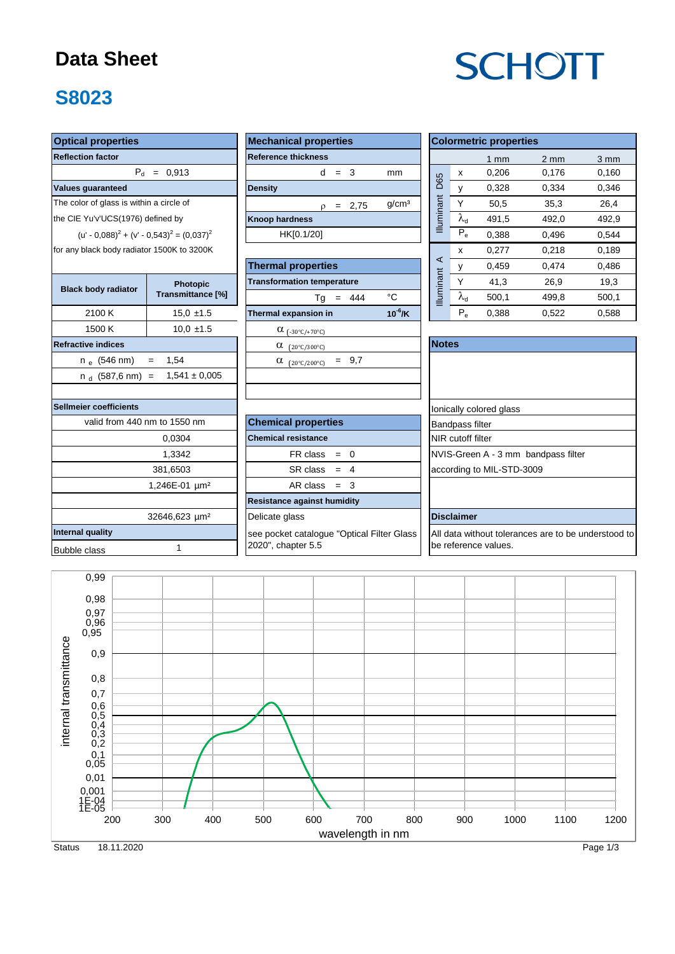### **Data Sheet**

### **S8023**

#### **Optical properties Values guaranteed** 1500 K 10,0 ±1.5  $\alpha_{(-30^{\circ}C/+70^{\circ}C)}$ **Refractive indices** n <sub>e</sub> (546 nm) = 1,54  $\hskip1cm \Big| \qquad \qquad \alpha$   $_{\rm (20 ^\circ C/200 ^\circ C)}$  = 9,7 n <sub>d</sub> (587,6 nm) = 1,541 ± 0,005 **Sellmeier coefficients Internal quality** Bubble class 1 1,246E-01 µm<sup>2</sup> 32646,623 µm<sup>2</sup> valid from 440 nm to 1550 nm 0,0304 1,3342 | FR class 381,6503 SR class for any black body radiator 1500K to 3200K **Black body radiator Photopic Photopic Transmittance [%]** 2100 K The color of glass is within a circle of the CIE Yu'v'UCS(1976) defined by  $(u' - 0.088)^{2} + (v' - 0.543)^{2} = (0.037)^{2}$

| <b>Mechanical properties</b>           |             | <b>Colormetric</b> |                   |                |                        |   |
|----------------------------------------|-------------|--------------------|-------------------|----------------|------------------------|---|
| <b>Reference thickness</b>             |             |                    |                   |                |                        | 1 |
| d                                      |             | $=$ 3              | mm                |                | x                      | O |
| <b>Density</b>                         |             |                    |                   |                | y                      | O |
| ρ                                      | $=$         | 2,75               | g/cm <sup>3</sup> | Illuminant D65 | Υ                      |   |
| <b>Knoop hardness</b>                  |             |                    |                   |                | $\lambda_{\rm d}$      | 4 |
| HK[0.1/20]                             |             |                    |                   |                | $\bar{P}_e$            | 0 |
|                                        |             |                    |                   |                | x                      | 0 |
| <b>Thermal properties</b>              |             | у                  | 0                 |                |                        |   |
| <b>Transformation temperature</b>      | Iluminant A | Υ                  |                   |                |                        |   |
| Tg                                     | $=$         | 444                | °C                |                | $\lambda_{\sf d}$      | 5 |
| Thermal expansion in                   |             |                    | $10^6$ /K         |                | $P_e$                  | 0 |
| α<br>$(-30^{\circ}C/+70^{\circ}C)$     |             |                    |                   |                |                        |   |
| α<br>$(20^{\circ}$ C/300°C)            |             |                    |                   | <b>Notes</b>   |                        |   |
| α<br>$(20^{\circ}$ C/200 $^{\circ}$ C) | $=$         | 9,7                |                   |                |                        |   |
|                                        |             |                    |                   |                |                        |   |
|                                        |             |                    |                   |                |                        |   |
|                                        |             |                    |                   |                | Ionically colore       |   |
| <b>Chemical properties</b>             |             |                    |                   |                | <b>Bandpass filter</b> |   |

2020", chapter 5.5

| <b>Optical properties</b>                           |                   | <b>Mechanical properties</b>      |                   |                   |                           | <b>Colormetric properties</b> |                |                  |  |  |  |  |
|-----------------------------------------------------|-------------------|-----------------------------------|-------------------|-------------------|---------------------------|-------------------------------|----------------|------------------|--|--|--|--|
| <b>Reflection factor</b>                            |                   | <b>Reference thickness</b>        |                   |                   |                           | mm                            | $2 \text{ mm}$ | $3 \, \text{mm}$ |  |  |  |  |
|                                                     | $P_{d} = 0.913$   | d<br>- 3<br>$=$                   | mm                |                   | х                         | 0,206                         | 0,176          | 0,160            |  |  |  |  |
| <b>Values guaranteed</b>                            |                   | <b>Density</b>                    | D65               | y                 | 0,328                     | 0.334                         | 0,346          |                  |  |  |  |  |
| The color of glass is within a circle of            |                   | 2,75<br>$=$<br>ρ                  | q/cm <sup>3</sup> |                   | Υ                         | 50,5                          | 35,3           | 26,4             |  |  |  |  |
| the CIE Yu'v'UCS(1976) defined by                   |                   | <b>Knoop hardness</b>             | uminant           | $\lambda_{\rm d}$ | 491,5                     | 492,0                         | 492,9          |                  |  |  |  |  |
| $(u' - 0.088)^{2} + (v' - 0.543)^{2} = (0.037)^{2}$ |                   | HK[0.1/20]                        | ≡                 | $P_e$             | 0,388                     | 0,496                         | 0,544          |                  |  |  |  |  |
| for any black body radiator 1500K to 3200K          |                   |                                   |                   |                   | $\boldsymbol{\mathsf{x}}$ | 0,277                         | 0,218          | 0,189            |  |  |  |  |
|                                                     |                   | <b>Thermal properties</b>         |                   | ⋖                 |                           | 0,459                         | 0,474          | 0,486            |  |  |  |  |
| <b>Black body radiator</b>                          | <b>Photopic</b>   | <b>Transformation temperature</b> |                   | luminant          | Υ                         | 41,3                          | 26,9           | 19,3             |  |  |  |  |
|                                                     | Transmittance [%] | 444<br>Тg                         | °C                |                   | $\lambda_{\rm d}$         | 500,1                         | 499,8          | 500,1            |  |  |  |  |
| 2100 K                                              | $15.0 \pm 1.5$    | Thermal expansion in              | $10^{-6}$ /K      |                   | $P_e$                     | 0,388                         | 0,522          | 0,588            |  |  |  |  |
| 1500K                                               | $100 + 15$        | $\sim$                            |                   |                   |                           |                               |                |                  |  |  |  |  |

|                 | α<br>$(20^{\circ}C/300^{\circ}C)$                 | <b>Notes</b>                                        |
|-----------------|---------------------------------------------------|-----------------------------------------------------|
|                 | $= 9.7$<br>α<br>$(20^{\circ}$ C/200 $^{\circ}$ C) |                                                     |
| E 0.005         |                                                   |                                                     |
|                 |                                                   |                                                     |
|                 |                                                   | lonically colored glass                             |
| ገm              | <b>Chemical properties</b>                        | <b>Bandpass filter</b>                              |
|                 | <b>Chemical resistance</b>                        | NIR cutoff filter                                   |
|                 | $FR \text{ class } = 0$                           | NVIS-Green A - 3 mm bandpass filter                 |
|                 | $SR class = 4$                                    | according to MIL-STD-3009                           |
| µm <sup>2</sup> | $AR class = 3$                                    |                                                     |
|                 | <b>Resistance against humidity</b>                |                                                     |
| µm <sup>2</sup> | Delicate glass                                    | <b>Disclaimer</b>                                   |
|                 | see pocket catalogue "Optical Filter Glass"       | All data without tolerances are to be understood to |

be reference values.

wavelength in nm internal transmittance 0,99 0,98 0,97 0,96 0,95 0,9 0,8 0,7 0,6 0,5  $0,4$ <br> $0,3$  $_{0,2}$ 0,1 0,05 0,01 0,001 1E-04 1E-05 200 300 400 500 600 700 800 900 1000 1100 1200 internal transmittance wavelength in nm

# **SCHOTT**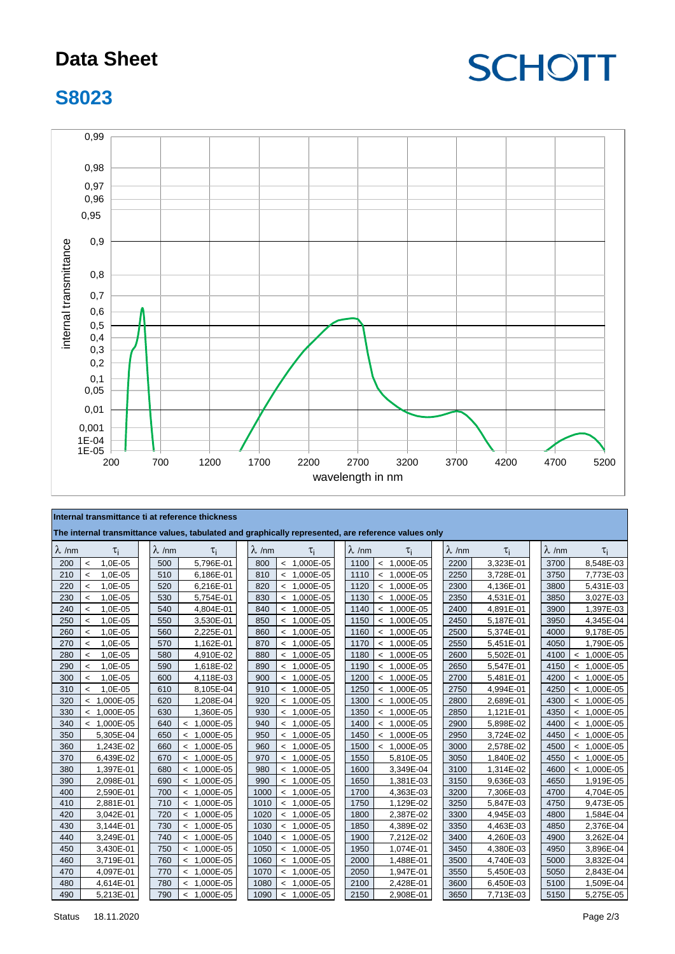### **Data Sheet**

## **SCHOTT**

### **S8023**



#### **Internal transmittance ti at reference thickness**

| The internal transmittance values, tabulated and graphically represented, are reference values only |                          |               |  |               |                                       |  |               |  |               |  |               |               |               |           |               |               |
|-----------------------------------------------------------------------------------------------------|--------------------------|---------------|--|---------------|---------------------------------------|--|---------------|--|---------------|--|---------------|---------------|---------------|-----------|---------------|---------------|
| $\lambda$ /nm                                                                                       |                          | $\tau_i$      |  | $\lambda$ /nm | $\tau_i$                              |  | $\lambda$ /nm |  | τi            |  | $\lambda$ /nm | $\tau_i$      | $\lambda$ /nm | $\tau_i$  | $\lambda$ /nm | $\tau_i$      |
| 200                                                                                                 | $\overline{\phantom{a}}$ | 1,0E-05       |  | 500           | 5,796E-01                             |  | 800           |  | $< 1,000E-05$ |  | 1100          | $< 1,000E-05$ | 2200          | 3,323E-01 | 3700          | 8,548E-03     |
| 210                                                                                                 | $\overline{\phantom{a}}$ | 1,0E-05       |  | 510           | 6,186E-01                             |  | 810           |  | $< 1,000E-05$ |  | 1110          | $< 1,000E-05$ | 2250          | 3,728E-01 | 3750          | 7,773E-03     |
| 220                                                                                                 | $\prec$                  | 1,0E-05       |  | 520           | 6,216E-01                             |  | 820           |  | $< 1,000E-05$ |  | 1120          | $< 1,000E-05$ | 2300          | 4,136E-01 | 3800          | 5,431E-03     |
| 230                                                                                                 | $\prec$                  | 1,0E-05       |  | 530           | 5,754E-01                             |  | 830           |  | $< 1,000E-05$ |  | 1130          | $< 1,000E-05$ | 2350          | 4,531E-01 | 3850          | 3,027E-03     |
| 240                                                                                                 | $\prec$                  | 1,0E-05       |  | 540           | 4,804E-01                             |  | 840           |  | $< 1,000E-05$ |  | 1140          | $< 1,000E-05$ | 2400          | 4,891E-01 | 3900          | 1,397E-03     |
| 250                                                                                                 | $\prec$                  | 1,0E-05       |  | 550           | 3,530E-01                             |  | 850           |  | $< 1,000E-05$ |  | 1150          | $< 1,000E-05$ | 2450          | 5,187E-01 | 3950          | 4,345E-04     |
| 260                                                                                                 | $\prec$                  | 1,0E-05       |  | 560           | 2,225E-01                             |  | 860           |  | $< 1,000E-05$ |  | 1160          | $< 1,000E-05$ | 2500          | 5,374E-01 | 4000          | 9,178E-05     |
| 270                                                                                                 | $\prec$                  | 1,0E-05       |  | 570           | 1,162E-01                             |  | 870           |  | $< 1,000E-05$ |  | 1170          | $< 1,000E-05$ | 2550          | 5,451E-01 | 4050          | 1,790E-05     |
| 280                                                                                                 | $\overline{\phantom{a}}$ | 1,0E-05       |  | 580           | 4,910E-02                             |  | 880           |  | $< 1,000E-05$ |  | 1180          | $< 1,000E-05$ | 2600          | 5,502E-01 | 4100          | $< 1,000E-05$ |
| 290                                                                                                 | $\prec$                  | 1,0E-05       |  | 590           | 1,618E-02                             |  | 890           |  | $< 1,000E-05$ |  | 1190          | $< 1,000E-05$ | 2650          | 5,547E-01 | 4150          | $< 1,000E-05$ |
| 300                                                                                                 | $\overline{\phantom{a}}$ | 1,0E-05       |  | 600           | 4,118E-03                             |  | 900           |  | $< 1,000E-05$ |  | 1200          | $< 1,000E-05$ | 2700          | 5,481E-01 | 4200          | $< 1,000E-05$ |
| 310                                                                                                 | $\overline{a}$           | 1,0E-05       |  | 610           | 8,105E-04                             |  | 910           |  | $< 1,000E-05$ |  | 1250          | $< 1,000E-05$ | 2750          | 4,994E-01 | 4250          | $< 1,000E-05$ |
| 320                                                                                                 |                          | $< 1,000E-05$ |  | 620           | 1,208E-04                             |  | 920           |  | $< 1,000E-05$ |  | 1300          | $< 1,000E-05$ | 2800          | 2,689E-01 | 4300          | $< 1,000E-05$ |
| 330                                                                                                 |                          | $< 1,000E-05$ |  | 630           | 1,360E-05                             |  | 930           |  | $< 1,000E-05$ |  | 1350          | $< 1,000E-05$ | 2850          | 1,121E-01 | 4350          | $< 1,000E-05$ |
| 340                                                                                                 |                          | $< 1,000E-05$ |  | 640           | $< 1,000E-05$                         |  | 940           |  | $< 1,000E-05$ |  | 1400          | $< 1,000E-05$ | 2900          | 5,898E-02 | 4400          | $< 1,000E-05$ |
| 350                                                                                                 |                          | 5,305E-04     |  | 650           | $< 1,000E-05$                         |  | 950           |  | $< 1,000E-05$ |  | 1450          | $< 1,000E-05$ | 2950          | 3,724E-02 | 4450          | $< 1,000E-05$ |
| 360                                                                                                 |                          | 1,243E-02     |  | 660           | $< 1,000E-05$                         |  | 960           |  | $< 1,000E-05$ |  | 1500          | $< 1,000E-05$ | 3000          | 2,578E-02 | 4500          | $< 1,000E-05$ |
| 370                                                                                                 |                          | 6,439E-02     |  | 670           | $< 1,000E-05$                         |  | 970           |  | $< 1,000E-05$ |  | 1550          | 5,810E-05     | 3050          | 1,840E-02 | 4550          | $< 1,000E-05$ |
| 380                                                                                                 |                          | 1,397E-01     |  | 680           | $< 1,000E-05$                         |  | 980           |  | $< 1,000E-05$ |  | 1600          | 3,349E-04     | 3100          | 1,314E-02 | 4600          | $< 1,000E-05$ |
| 390                                                                                                 |                          | 2,098E-01     |  | 690           | $< 1,000E-05$                         |  | 990           |  | $< 1,000E-05$ |  | 1650          | 1,381E-03     | 3150          | 9,636E-03 | 4650          | 1,919E-05     |
| 400                                                                                                 |                          | 2,590E-01     |  | 700           | $\prec$<br>1,000E-05                  |  | 1000          |  | $< 1,000E-05$ |  | 1700          | 4,363E-03     | 3200          | 7,306E-03 | 4700          | 4,704E-05     |
| 410                                                                                                 |                          | 2,881E-01     |  | 710           | $< 1,000E-05$                         |  | 1010          |  | $< 1,000E-05$ |  | 1750          | 1,129E-02     | 3250          | 5,847E-03 | 4750          | 9,473E-05     |
| 420                                                                                                 |                          | 3,042E-01     |  | 720           | $< 1,000E-05$                         |  | 1020          |  | $< 1,000E-05$ |  | 1800          | 2,387E-02     | 3300          | 4,945E-03 | 4800          | 1,584E-04     |
| 430                                                                                                 |                          | 3,144E-01     |  | 730           | $< 1,000E-05$                         |  | 1030          |  | $< 1,000E-05$ |  | 1850          | 4,389E-02     | 3350          | 4,463E-03 | 4850          | 2,376E-04     |
| 440                                                                                                 |                          | 3,249E-01     |  | 740           | $< 1,000E-05$                         |  | 1040          |  | $< 1,000E-05$ |  | 1900          | 7,212E-02     | 3400          | 4,260E-03 | 4900          | 3,262E-04     |
| 450                                                                                                 |                          | 3,430E-01     |  | 750           | $< 1,000E-05$                         |  | 1050          |  | $< 1,000E-05$ |  | 1950          | 1,074E-01     | 3450          | 4,380E-03 | 4950          | 3,896E-04     |
| 460                                                                                                 |                          | 3,719E-01     |  | 760           | $< 1,000E-05$                         |  | 1060          |  | $< 1,000E-05$ |  | 2000          | 1,488E-01     | 3500          | 4,740E-03 | 5000          | 3,832E-04     |
| 470                                                                                                 |                          | 4,097E-01     |  | 770           | 1,000E-05<br>$\overline{\phantom{a}}$ |  | 1070          |  | $< 1,000E-05$ |  | 2050          | 1,947E-01     | 3550          | 5,450E-03 | 5050          | 2,843E-04     |
| 480                                                                                                 |                          | 4,614E-01     |  | 780           | $< 1,000E-05$                         |  | 1080          |  | $< 1,000E-05$ |  | 2100          | 2,428E-01     | 3600          | 6,450E-03 | 5100          | 1,509E-04     |
| 490                                                                                                 |                          | 5,213E-01     |  | 790           | $< 1,000E-05$                         |  | 1090          |  | $< 1,000E-05$ |  | 2150          | 2,908E-01     | 3650          | 7,713E-03 | 5150          | 5,275E-05     |